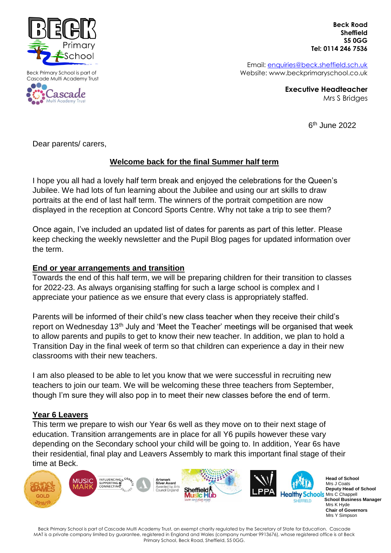

Beck Primary School is part of Cascade Multi Academy Trust



 **Beck Road Sheffield S5 0GG Tel: 0114 246 7536**

Email: [enquiries@beck.sheffield.sch.uk](mailto:enquiries@beck.sheffield.sch.uk) Website: www.beckprimaryschool.co.uk

> **Executive Headteacher** Mrs S Bridges

> > 6 th June 2022

Mrs Y Simpson

Dear parents/ carers,

# **Welcome back for the final Summer half term**

I hope you all had a lovely half term break and enjoyed the celebrations for the Queen's Jubilee. We had lots of fun learning about the Jubilee and using our art skills to draw portraits at the end of last half term. The winners of the portrait competition are now displayed in the reception at Concord Sports Centre. Why not take a trip to see them?

Once again, I've included an updated list of dates for parents as part of this letter. Please keep checking the weekly newsletter and the Pupil Blog pages for updated information over the term.

## **End or year arrangements and transition**

Towards the end of this half term, we will be preparing children for their transition to classes for 2022-23. As always organising staffing for such a large school is complex and I appreciate your patience as we ensure that every class is appropriately staffed.

Parents will be informed of their child's new class teacher when they receive their child's report on Wednesday 13<sup>th</sup> July and 'Meet the Teacher' meetings will be organised that week to allow parents and pupils to get to know their new teacher. In addition, we plan to hold a Transition Day in the final week of term so that children can experience a day in their new classrooms with their new teachers.

I am also pleased to be able to let you know that we were successful in recruiting new teachers to join our team. We will be welcoming these three teachers from September, though I'm sure they will also pop in to meet their new classes before the end of term.

## **Year 6 Leavers**

This term we prepare to wish our Year 6s well as they move on to their next stage of education. Transition arrangements are in place for all Y6 pupils however these vary depending on the Secondary school your child will be going to. In addition, Year 6s have their residential, final play and Leavers Assembly to mark this important final stage of their time at Beck.



Beck Primary School is part of Cascade Multi Academy Trust, an exempt charity regulated by the Secretary of State for Education. Cascade MAT is a private company limited by guarantee, registered in England and Wales (company number 9913676), whose registered office is at Beck Primary School, Beck Road, Sheffield, S5 0GG.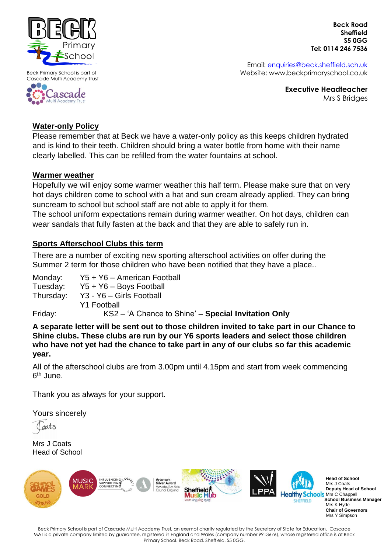

Beck Primary School is part of Cascade Multi Academy Trust



 **Beck Road Sheffield S5 0GG Tel: 0114 246 7536**

Email: [enquiries@beck.sheffield.sch.uk](mailto:enquiries@beck.sheffield.sch.uk) Website: www.beckprimaryschool.co.uk

> **Executive Headteacher** Mrs S Bridges

# **Water-only Policy**

Please remember that at Beck we have a water-only policy as this keeps children hydrated and is kind to their teeth. Children should bring a water bottle from home with their name clearly labelled. This can be refilled from the water fountains at school.

# **Warmer weather**

Hopefully we will enjoy some warmer weather this half term. Please make sure that on very hot days children come to school with a hat and sun cream already applied. They can bring suncream to school but school staff are not able to apply it for them.

The school uniform expectations remain during warmer weather. On hot days, children can wear sandals that fully fasten at the back and that they are able to safely run in.

# **Sports Afterschool Clubs this term**

There are a number of exciting new sporting afterschool activities on offer during the Summer 2 term for those children who have been notified that they have a place..

| Monday:   | Y5 + Y6 - American Football                         |
|-----------|-----------------------------------------------------|
| Tuesday:  | $Y5 + Y6 - Boys Football$                           |
| Thursday: | Y3 - Y6 - Girls Football                            |
|           | <b>Y1 Football</b>                                  |
| Friday:   | KS2 - 'A Chance to Shine' - Special Invitation Only |

**A separate letter will be sent out to those children invited to take part in our Chance to Shine clubs. These clubs are run by our Y6 sports leaders and select those children who have not yet had the chance to take part in any of our clubs so far this academic year.**

All of the afterschool clubs are from 3.00pm until 4.15pm and start from week commencing 6<sup>th</sup> June.

Thank you as always for your support.

Yours sincerely

gats

Mrs J Coats Head of School



 **School Business Manager Chair of Governors** Mrs Y Simpson

Beck Primary School is part of Cascade Multi Academy Trust, an exempt charity regulated by the Secretary of State for Education. Cascade MAT is a private company limited by guarantee, registered in England and Wales (company number 9913676), whose registered office is at Beck Primary School, Beck Road, Sheffield, S5 0GG.